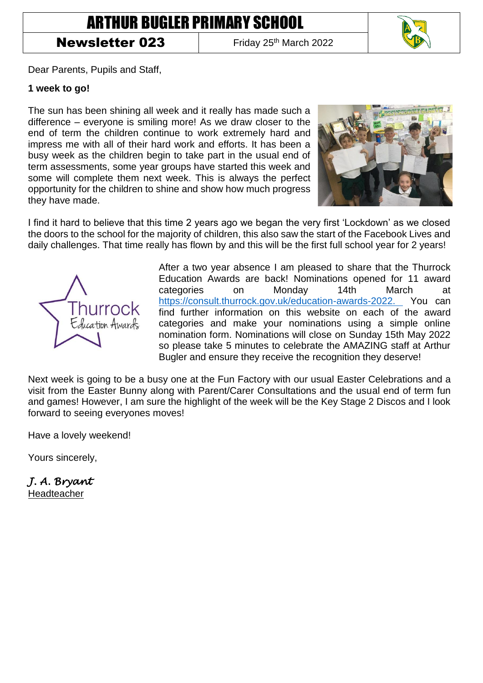## ARTHUR BUGLER PRIMARY SCHOOL

## **Newsletter 023** Friday 25<sup>th</sup> March 2022



Dear Parents, Pupils and Staff,

## **1 week to go!**

The sun has been shining all week and it really has made such a difference – everyone is smiling more! As we draw closer to the end of term the children continue to work extremely hard and impress me with all of their hard work and efforts. It has been a busy week as the children begin to take part in the usual end of term assessments, some year groups have started this week and some will complete them next week. This is always the perfect opportunity for the children to shine and show how much progress they have made.



I find it hard to believe that this time 2 years ago we began the very first 'Lockdown' as we closed the doors to the school for the majority of children, this also saw the start of the Facebook Lives and daily challenges. That time really has flown by and this will be the first full school year for 2 years!



After a two year absence I am pleased to share that the Thurrock Education Awards are back! Nominations opened for 11 award categories on Monday 14th March at [https://consult.thurrock.gov.uk/education-awards-2022.](https://consult.thurrock.gov.uk/education-awards-2022) You can find further information on this website on each of the award categories and make your nominations using a simple online nomination form. Nominations will close on Sunday 15th May 2022 so please take 5 minutes to celebrate the AMAZING staff at Arthur Bugler and ensure they receive the recognition they deserve!

Next week is going to be a busy one at the Fun Factory with our usual Easter Celebrations and a visit from the Easter Bunny along with Parent/Carer Consultations and the usual end of term fun and games! However, I am sure the highlight of the week will be the Key Stage 2 Discos and I look forward to seeing everyones moves!

Have a lovely weekend!

Yours sincerely,

*J. A. Bryant*  Headteacher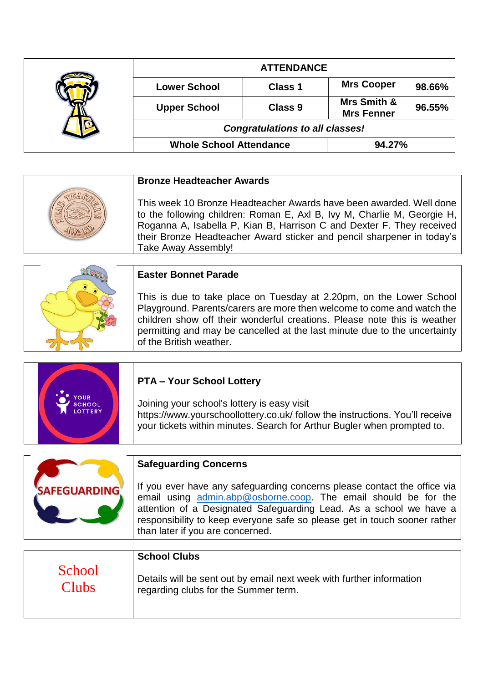|  | <b>ATTENDANCE</b>                      |                |                                  |        |
|--|----------------------------------------|----------------|----------------------------------|--------|
|  | <b>Lower School</b>                    | Class 1        | <b>Mrs Cooper</b>                | 98.66% |
|  | <b>Upper School</b>                    | <b>Class 9</b> | Mrs Smith &<br><b>Mrs Fenner</b> | 96.55% |
|  | <b>Congratulations to all classes!</b> |                |                                  |        |
|  | <b>Whole School Attendance</b>         |                | 94.27%                           |        |

| <b>Bronze Headteacher Awards</b>                                                                                                                                                                                                                                                                                         |
|--------------------------------------------------------------------------------------------------------------------------------------------------------------------------------------------------------------------------------------------------------------------------------------------------------------------------|
| This week 10 Bronze Headteacher Awards have been awarded. Well done<br>to the following children: Roman E, Axl B, Ivy M, Charlie M, Georgie H,<br>Roganna A, Isabella P, Kian B, Harrison C and Dexter F. They received<br>their Bronze Headteacher Award sticker and pencil sharpener in today's<br>Take Away Assembly! |
|                                                                                                                                                                                                                                                                                                                          |

| <b>Easter Bonnet Parade</b>                                                                                                                                                                                                                                                                                                       |
|-----------------------------------------------------------------------------------------------------------------------------------------------------------------------------------------------------------------------------------------------------------------------------------------------------------------------------------|
| This is due to take place on Tuesday at 2.20pm, on the Lower School<br>Playground. Parents/carers are more then welcome to come and watch the<br>children show off their wonderful creations. Please note this is weather<br>permitting and may be cancelled at the last minute due to the uncertainty<br>of the British weather. |

|               | <b>PTA - Your School Lottery</b>                                             |
|---------------|------------------------------------------------------------------------------|
| OUR           | Joining your school's lottery is easy visit                                  |
| <b>SCHOOL</b> | https://www.yourschoollottery.co.uk/ follow the instructions. You'll receive |
| LOTTERY       | your tickets within minutes. Search for Arthur Bugler when prompted to.      |

|                     | <b>Safeguarding Concerns</b>                                                                                                                                                                                                                                                                                                       |
|---------------------|------------------------------------------------------------------------------------------------------------------------------------------------------------------------------------------------------------------------------------------------------------------------------------------------------------------------------------|
| <b>SAFEGUARDING</b> | If you ever have any safeguarding concerns please contact the office via<br>email using admin.abp@osborne.coop. The email should be for the<br>attention of a Designated Safeguarding Lead. As a school we have a<br>responsibility to keep everyone safe so please get in touch sooner rather<br>than later if you are concerned. |

|              | <b>School Clubs</b>                                                  |
|--------------|----------------------------------------------------------------------|
| School       | Details will be sent out by email next week with further information |
| <b>Clubs</b> | regarding clubs for the Summer term.                                 |